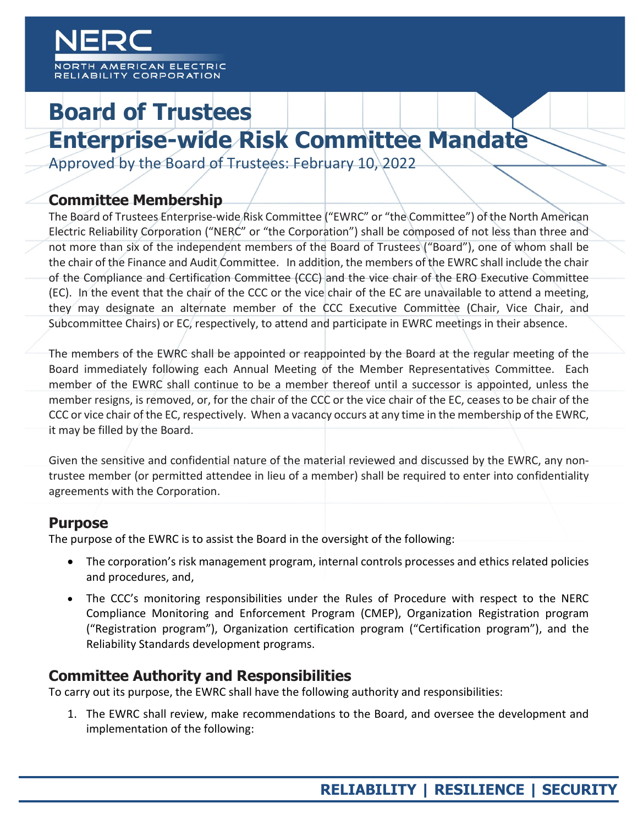AMERICAN ELECTRIC RELIABILITY CORPORATION

# **Board of Trustees Enterprise-wide Risk Committee Mandate**

Approved by the Board of Trustees: February 10, 2022

## **Committee Membership**

The Board of Trustees Enterprise-wide Risk Committee ("EWRC" or "the Committee") of the North American Electric Reliability Corporation ("NERC" or "the Corporation") shall be composed of not less than three and not more than six of the independent members of the Board of Trustees ("Board"), one of whom shall be the chair of the Finance and Audit Committee. In addition, the members of the EWRC shall include the chair of the Compliance and Certification Committee (CCC) and the vice chair of the ERO Executive Committee (EC). In the event that the chair of the CCC or the vice chair of the EC are unavailable to attend a meeting, they may designate an alternate member of the CCC Executive Committee (Chair, Vice Chair, and Subcommittee Chairs) or EC, respectively, to attend and participate in EWRC meetings in their absence.

The members of the EWRC shall be appointed or reappointed by the Board at the regular meeting of the Board immediately following each Annual Meeting of the Member Representatives Committee. Each member of the EWRC shall continue to be a member thereof until a successor is appointed, unless the member resigns, is removed, or, for the chair of the CCC or the vice chair of the EC, ceases to be chair of the CCC or vice chair of the EC, respectively. When a vacancy occurs at any time in the membership of the EWRC, it may be filled by the Board.

Given the sensitive and confidential nature of the material reviewed and discussed by the EWRC, any nontrustee member (or permitted attendee in lieu of a member) shall be required to enter into confidentiality agreements with the Corporation.

## **Purpose**

The purpose of the EWRC is to assist the Board in the oversight of the following:

- The corporation's risk management program, internal controls processes and ethics related policies and procedures, and,
- The CCC's monitoring responsibilities under the Rules of Procedure with respect to the NERC Compliance Monitoring and Enforcement Program (CMEP), Organization Registration program ("Registration program"), Organization certification program ("Certification program"), and the Reliability Standards development programs.

# **Committee Authority and Responsibilities**

To carry out its purpose, the EWRC shall have the following authority and responsibilities:

1. The EWRC shall review, make recommendations to the Board, and oversee the development and implementation of the following: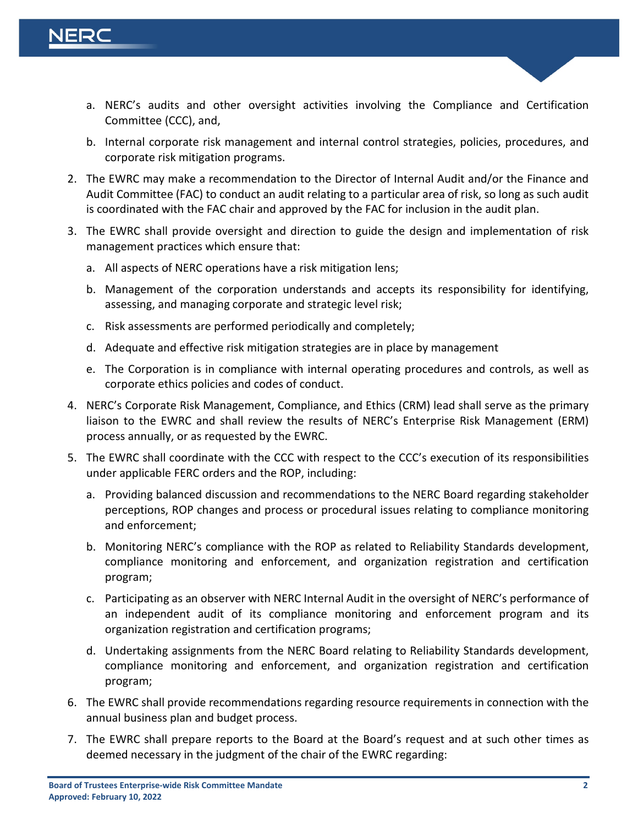

- a. NERC's audits and other oversight activities involving the Compliance and Certification Committee (CCC), and,
- b. Internal corporate risk management and internal control strategies, policies, procedures, and corporate risk mitigation programs.
- 2. The EWRC may make a recommendation to the Director of Internal Audit and/or the Finance and Audit Committee (FAC) to conduct an audit relating to a particular area of risk, so long as such audit is coordinated with the FAC chair and approved by the FAC for inclusion in the audit plan.
- 3. The EWRC shall provide oversight and direction to guide the design and implementation of risk management practices which ensure that:
	- a. All aspects of NERC operations have a risk mitigation lens;
	- b. Management of the corporation understands and accepts its responsibility for identifying, assessing, and managing corporate and strategic level risk;
	- c. Risk assessments are performed periodically and completely;
	- d. Adequate and effective risk mitigation strategies are in place by management
	- e. The Corporation is in compliance with internal operating procedures and controls, as well as corporate ethics policies and codes of conduct.
- 4. NERC's Corporate Risk Management, Compliance, and Ethics (CRM) lead shall serve as the primary liaison to the EWRC and shall review the results of NERC's Enterprise Risk Management (ERM) process annually, or as requested by the EWRC.
- 5. The EWRC shall coordinate with the CCC with respect to the CCC's execution of its responsibilities under applicable FERC orders and the ROP, including:
	- a. Providing balanced discussion and recommendations to the NERC Board regarding stakeholder perceptions, ROP changes and process or procedural issues relating to compliance monitoring and enforcement;
	- b. Monitoring NERC's compliance with the ROP as related to Reliability Standards development, compliance monitoring and enforcement, and organization registration and certification program;
	- c. Participating as an observer with NERC Internal Audit in the oversight of NERC's performance of an independent audit of its compliance monitoring and enforcement program and its organization registration and certification programs;
	- d. Undertaking assignments from the NERC Board relating to Reliability Standards development, compliance monitoring and enforcement, and organization registration and certification program;
- 6. The EWRC shall provide recommendations regarding resource requirements in connection with the annual business plan and budget process.
- 7. The EWRC shall prepare reports to the Board at the Board's request and at such other times as deemed necessary in the judgment of the chair of the EWRC regarding: